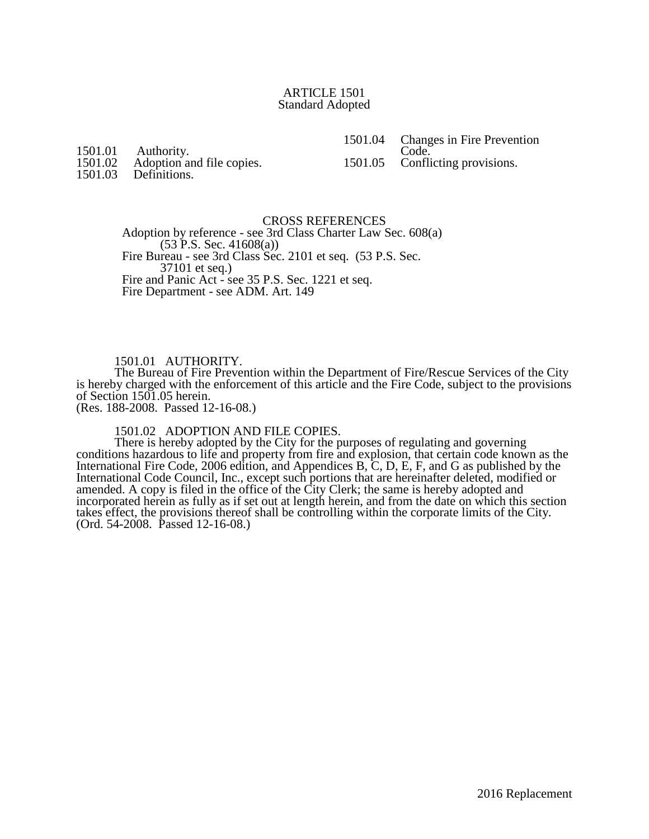## ARTICLE 1501 Standard Adopted

1501.01 Authority.<br>1501.02 Adoption at

1501.02 Adoption and file copies.<br>1501.03 Definitions.

Definitions.

CROSS REFERENCES

Adoption by reference - see 3rd Class Charter Law Sec. 608(a)  $(53 \text{ P.S. Sec. } 41608(a))$ Fire Bureau - see 3rd Class Sec. 2101 et seq. (53 P.S. Sec. 37101 et seq.) Fire and Panic Act - see 35 P.S. Sec. 1221 et seq. Fire Department - see ADM. Art. 149

## 1501.01 AUTHORITY.

The Bureau of Fire Prevention within the Department of Fire/Rescue Services of the City is hereby charged with the enforcement of this article and the Fire Code, subject to the provisions of Section 1501.05 herein.

(Res. 188-2008. Passed 12-16-08.)

1501.02 ADOPTION AND FILE COPIES.

There is hereby adopted by the City for the purposes of regulating and governing conditions hazardous to life and property from fire and explosion, that certain code known as the International Fire Code, 2006 edition, and Appendices B, C, D, E, F, and G as published by the International Code Council, Inc., except such portions that are hereinafter deleted, modified or amended. A copy is filed in the office of the City Clerk; the same is hereby adopted and incorporated herein as fully as if set out at length herein, and from the date on which this section takes effect, the provisions thereof shall be controlling within the corporate limits of the City. (Ord. 54-2008. Passed 12-16-08.)

1501.04 Changes in Fire Prevention Code.

1501.05 Conflicting provisions.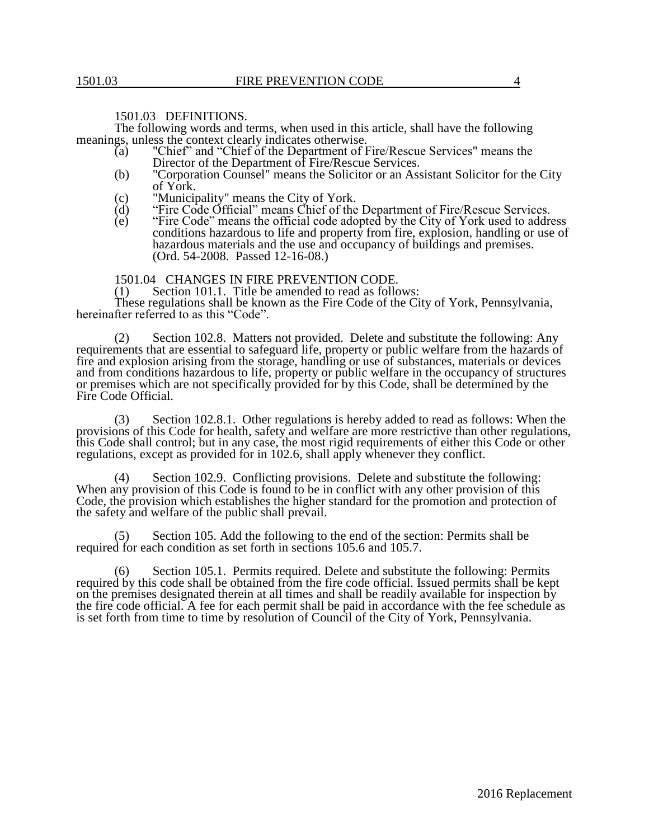## 1501.03 DEFINITIONS.

The following words and terms, when used in this article, shall have the following meanings, unless the context clearly indicates otherwise.

- (a) "Chief" and "Chief of the Department of Fire/Rescue Services" means the Director of the Department of Fire/Rescue Services.
- (b) "Corporation Counsel" means the Solicitor or an Assistant Solicitor for the City of York.
- (c) "Municipality" means the City of York.<br>
(d) "Fire Code Official" means Chief of the
- $(d)$  "Fire Code Official" means Chief of the Department of Fire/Rescue Services.<br>
(e) "Fire Code" means the official code adopted by the City of York used to addre
- "Fire Code" means the official code adopted by the City of York used to address conditions hazardous to life and property from fire, explosion, handling or use of hazardous materials and the use and occupancy of buildings and premises. (Ord. 54-2008. Passed 12-16-08.)

## 1501.04 CHANGES IN FIRE PREVENTION CODE.<br>(1) Section 101.1. Title be amended to read as follo

Section 101.1. Title be amended to read as follows: These regulations shall be known as the Fire Code of the City of York, Pennsylvania, hereinafter referred to as this "Code".

(2) Section 102.8. Matters not provided. Delete and substitute the following: Any requirements that are essential to safeguard life, property or public welfare from the hazards of fire and explosion arising from the storage, handling or use of substances, materials or devices and from conditions hazardous to life, property or public welfare in the occupancy of structures or premises which are not specifically provided for by this Code, shall be determined by the Fire Code Official.

(3) Section 102.8.1. Other regulations is hereby added to read as follows: When the provisions of this Code for health, safety and welfare are more restrictive than other regulations, this Code shall control; but in any case, the most rigid requirements of either this Code or other regulations, except as provided for in 102.6, shall apply whenever they conflict.

(4) Section 102.9. Conflicting provisions. Delete and substitute the following: When any provision of this Code is found to be in conflict with any other provision of this Code, the provision which establishes the higher standard for the promotion and protection of the safety and welfare of the public shall prevail.

Section 105. Add the following to the end of the section: Permits shall be required for each condition as set forth in sections 105.6 and 105.7.

(6) Section 105.1. Permits required. Delete and substitute the following: Permits required by this code shall be obtained from the fire code official. Issued permits shall be kept on the premises designated therein at all times and shall be readily available for inspection by the fire code official. A fee for each permit shall be paid in accordance with the fee schedule as is set forth from time to time by resolution of Council of the City of York, Pennsylvania.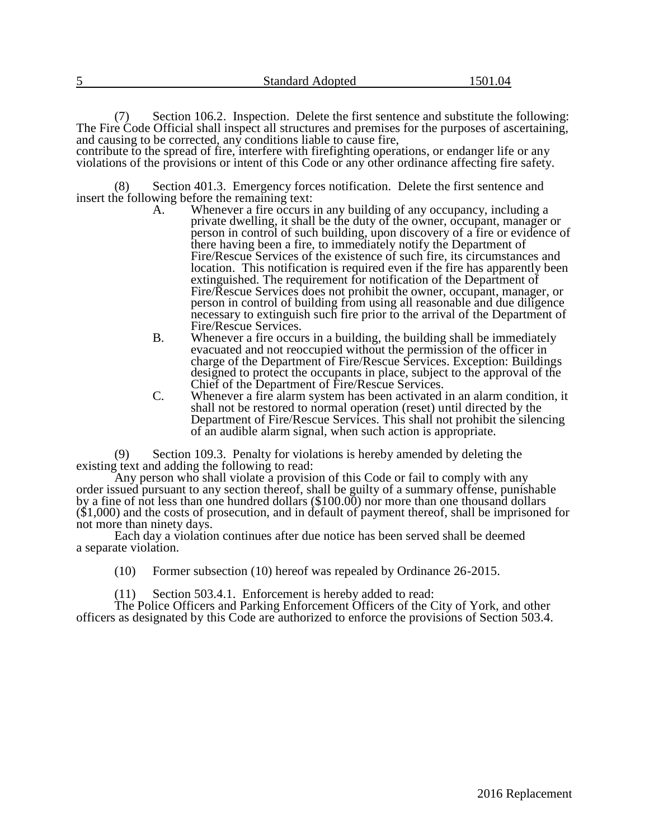| 5                                                            | <b>Standard Adopted</b>                                                                                                                                                                                                                                                                                                                                                                                                                                                 | 1501.04 |
|--------------------------------------------------------------|-------------------------------------------------------------------------------------------------------------------------------------------------------------------------------------------------------------------------------------------------------------------------------------------------------------------------------------------------------------------------------------------------------------------------------------------------------------------------|---------|
| (7)                                                          | Section 106.2. Inspection. Delete the first sentence and substitute the following:<br>The Fire Code Official shall inspect all structures and premises for the purposes of ascertaining,<br>and causing to be corrected, any conditions liable to cause fire,<br>contribute to the spread of fire, interfere with firefighting operations, or endanger life or any<br>violations of the provisions or intent of this Code or any other ordinance affecting fire safety. |         |
| (8)<br>insert the following before the remaining text:<br>А. | Section 401.3. Emergency forces notification. Delete the first sentence and<br>Whenever a fire occurs in any building of any occupancy, including a<br>private dwelling, it shall be the duty of the owner, occupant, manager or<br>person in control of such building, upon discovery of a fire or evidence of<br>there having been a fire, to immediately notify the Department of                                                                                    |         |

- there having been a fire, to immediately notify the Department of Fire/Rescue Services of the existence of such fire, its circumstances and location. This notification is required even if the fire has apparently been extinguished. The requirement for notification of the Department of Fire/Rescue Services does not prohibit the owner, occupant, manager, or person in control of building from using all reasonable and due diligence necessary to extinguish such fire prior to the arrival of the Department of Fire/Rescue Services.
- B. Whenever a fire occurs in a building, the building shall be immediately evacuated and not reoccupied without the permission of the officer in charge of the Department of Fire/Rescue Services. Exception: Buildings designed to protect the occupants in place, subject to the approval of the Chief of the Department of Fire/Rescue Services.
- C. Whenever a fire alarm system has been activated in an alarm condition, it shall not be restored to normal operation (reset) until directed by the Department of Fire/Rescue Services. This shall not prohibit the silencing of an audible alarm signal, when such action is appropriate.

(9) Section 109.3. Penalty for violations is hereby amended by deleting the existing text and adding the following to read:

Any person who shall violate a provision of this Code or fail to comply with any order issued pursuant to any section thereof, shall be guilty of a summary offense, punishable by a fine of not less than one hundred dollars (\$100.00) nor more than one thousand dollars  $(\$1,000)$  and the costs of prosecution, and in default of payment thereof, shall be imprisoned for not more than ninety days.

Each day a violation continues after due notice has been served shall be deemed a separate violation.

(10) Former subsection (10) hereof was repealed by Ordinance 26-2015.

(11) Section 503.4.1. Enforcement is hereby added to read:

The Police Officers and Parking Enforcement Officers of the City of York, and other officers as designated by this Code are authorized to enforce the provisions of Section 503.4.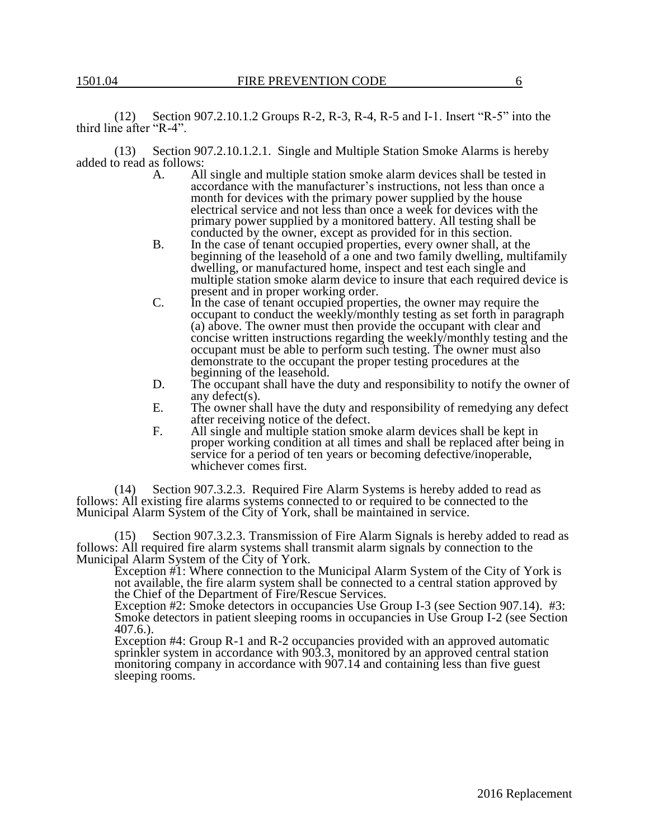(12) Section 907.2.10.1.2 Groups R-2, R-3, R-4, R-5 and I-1. Insert "R-5" into the third line after "R-4".

(13) Section 907.2.10.1.2.1. Single and Multiple Station Smoke Alarms is hereby added to read as follows:

- A. All single and multiple station smoke alarm devices shall be tested in accordance with the manufacturer's instructions, not less than once a month for devices with the primary power supplied by the house electrical service and not less than once a week for devices with the primary power supplied by a monitored battery. All testing shall be conducted by the owner, except as provided for in this section.
- B. In the case of tenant occupied properties, every owner shall, at the beginning of the leasehold of a one and two family dwelling, multifamily dwelling, or manufactured home, inspect and test each single and multiple station smoke alarm device to insure that each required device is present and in proper working order.
- C. In the case of tenant occupied properties, the owner may require the occupant to conduct the weekly/monthly testing as set forth in paragraph (a) above. The owner must then provide the occupant with clear and concise written instructions regarding the weekly/monthly testing and the occupant must be able to perform such testing. The owner must also demonstrate to the occupant the proper testing procedures at the beginning of the leasehold.
- D. The occupant shall have the duty and responsibility to notify the owner of any defect(s).
- E. The owner shall have the duty and responsibility of remedying any defect after receiving notice of the defect.
- F. All single and multiple station smoke alarm devices shall be kept in proper working condition at all times and shall be replaced after being in service for a period of ten years or becoming defective/inoperable, whichever comes first.

(14) Section 907.3.2.3. Required Fire Alarm Systems is hereby added to read as follows: All existing fire alarms systems connected to or required to be connected to the Municipal Alarm System of the City of York, shall be maintained in service.

(15) Section 907.3.2.3. Transmission of Fire Alarm Signals is hereby added to read as follows: All required fire alarm systems shall transmit alarm signals by connection to the Municipal Alarm System of the City of York.

Exception #1: Where connection to the Municipal Alarm System of the City of York is not available, the fire alarm system shall be connected to a central station approved by the Chief of the Department of Fire/Rescue Services.

Exception #2: Smoke detectors in occupancies Use Group I-3 (see Section 907.14). #3: Smoke detectors in patient sleeping rooms in occupancies in Use Group I-2 (see Section 407.6.).

Exception #4: Group R-1 and R-2 occupancies provided with an approved automatic sprinkler system in accordance with 903.3, monitored by an approved central station monitoring company in accordance with 907.14 and containing less than five guest sleeping rooms.